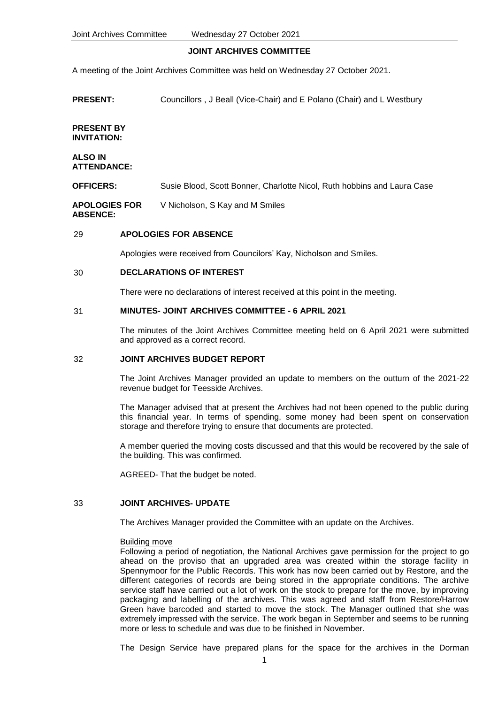# **JOINT ARCHIVES COMMITTEE**

A meeting of the Joint Archives Committee was held on Wednesday 27 October 2021.

**PRESENT:** Councillors , J Beall (Vice-Chair) and E Polano (Chair) and L Westbury

# **PRESENT BY INVITATION:**

#### **ALSO IN ATTENDANCE:**

**OFFICERS:** Susie Blood, Scott Bonner, Charlotte Nicol, Ruth hobbins and Laura Case

**APOLOGIES FOR**  V Nicholson, S Kay and M Smiles

# **ABSENCE:**

# 29 **APOLOGIES FOR ABSENCE**

Apologies were received from Councilors' Kay, Nicholson and Smiles.

# 30 **DECLARATIONS OF INTEREST**

There were no declarations of interest received at this point in the meeting.

# 31 **MINUTES- JOINT ARCHIVES COMMITTEE - 6 APRIL 2021**

The minutes of the Joint Archives Committee meeting held on 6 April 2021 were submitted and approved as a correct record.

# 32 **JOINT ARCHIVES BUDGET REPORT**

The Joint Archives Manager provided an update to members on the outturn of the 2021-22 revenue budget for Teesside Archives.

The Manager advised that at present the Archives had not been opened to the public during this financial year. In terms of spending, some money had been spent on conservation storage and therefore trying to ensure that documents are protected.

A member queried the moving costs discussed and that this would be recovered by the sale of the building. This was confirmed.

AGREED- That the budget be noted.

# 33 **JOINT ARCHIVES- UPDATE**

The Archives Manager provided the Committee with an update on the Archives.

# Building move

Following a period of negotiation, the National Archives gave permission for the project to go ahead on the proviso that an upgraded area was created within the storage facility in Spennymoor for the Public Records. This work has now been carried out by Restore, and the different categories of records are being stored in the appropriate conditions. The archive service staff have carried out a lot of work on the stock to prepare for the move, by improving packaging and labelling of the archives. This was agreed and staff from Restore/Harrow Green have barcoded and started to move the stock. The Manager outlined that she was extremely impressed with the service. The work began in September and seems to be running more or less to schedule and was due to be finished in November.

The Design Service have prepared plans for the space for the archives in the Dorman